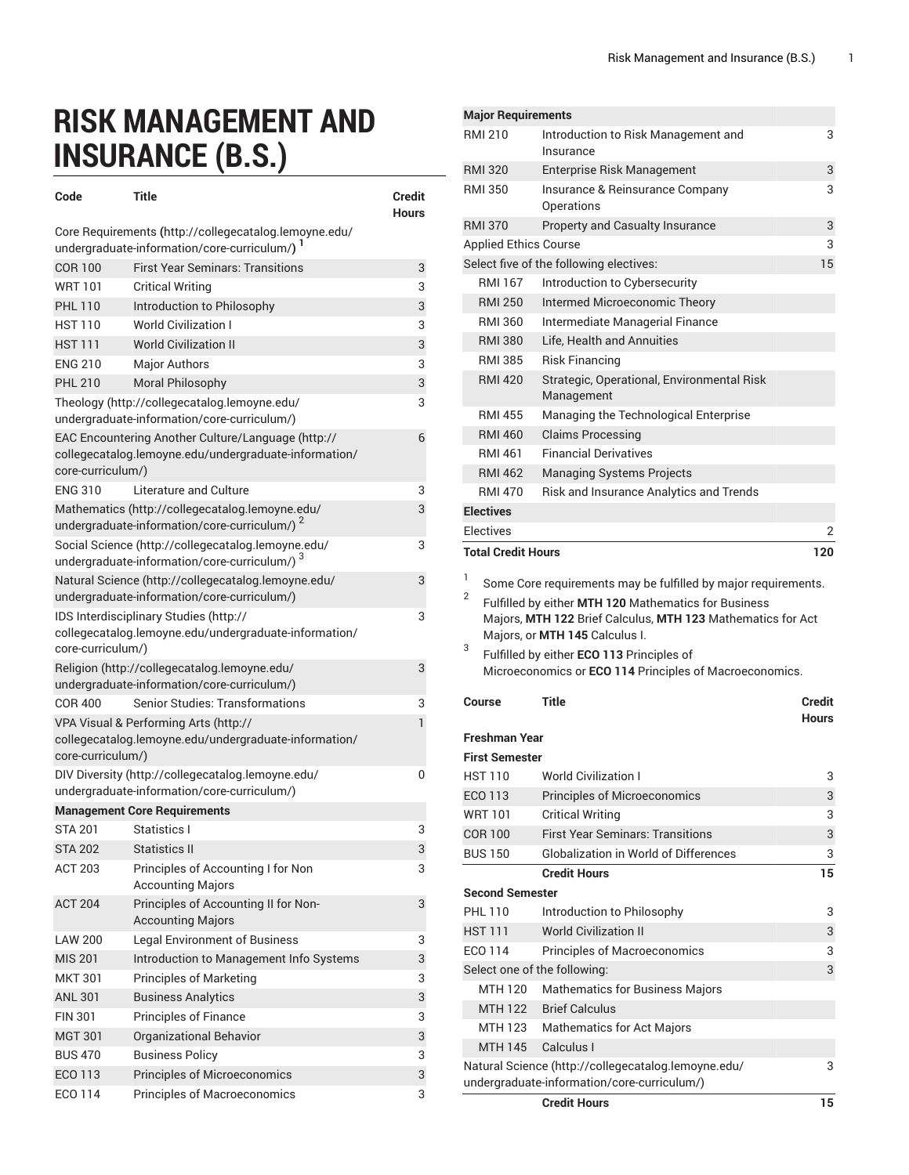## **RISK MANAGEMENT AND INSURANCE (B.S.)**

| Code                                                                                                   | <b>Title</b>                                                                                                   | Credit<br><b>Hours</b> |  |
|--------------------------------------------------------------------------------------------------------|----------------------------------------------------------------------------------------------------------------|------------------------|--|
| Core Requirements (http://collegecatalog.lemoyne.edu/<br>undergraduate-information/core-curriculum/) 1 |                                                                                                                |                        |  |
| <b>COR 100</b>                                                                                         | <b>First Year Seminars: Transitions</b>                                                                        | 3                      |  |
| <b>WRT101</b>                                                                                          | <b>Critical Writing</b>                                                                                        | 3                      |  |
| <b>PHL 110</b>                                                                                         | Introduction to Philosophy                                                                                     | 3                      |  |
| <b>HST 110</b>                                                                                         | <b>World Civilization I</b>                                                                                    | 3                      |  |
| <b>HST111</b>                                                                                          | <b>World Civilization II</b>                                                                                   | 3                      |  |
| <b>ENG 210</b>                                                                                         | <b>Major Authors</b>                                                                                           | 3                      |  |
| <b>PHL 210</b>                                                                                         | Moral Philosophy                                                                                               | 3                      |  |
| Theology (http://collegecatalog.lemoyne.edu/<br>undergraduate-information/core-curriculum/)            |                                                                                                                |                        |  |
| core-curriculum/)                                                                                      | EAC Encountering Another Culture/Language (http://<br>collegecatalog.lemoyne.edu/undergraduate-information/    | 6                      |  |
| <b>ENG 310</b>                                                                                         | Literature and Culture                                                                                         | 3                      |  |
|                                                                                                        | Mathematics (http://collegecatalog.lemoyne.edu/<br>undergraduate-information/core-curriculum/)                 | 3                      |  |
|                                                                                                        | Social Science (http://collegecatalog.lemoyne.edu/<br>undergraduate-information/core-curriculum/) <sup>3</sup> | 3                      |  |
|                                                                                                        | Natural Science (http://collegecatalog.lemoyne.edu/                                                            | 3                      |  |
|                                                                                                        | undergraduate-information/core-curriculum/)                                                                    |                        |  |
| core-curriculum/)                                                                                      | IDS Interdisciplinary Studies (http://<br>collegecatalog.lemoyne.edu/undergraduate-information/                | 3                      |  |
|                                                                                                        | Religion (http://collegecatalog.lemoyne.edu/<br>undergraduate-information/core-curriculum/)                    | 3                      |  |
| <b>COR 400</b>                                                                                         | <b>Senior Studies: Transformations</b>                                                                         | 3                      |  |
|                                                                                                        | VPA Visual & Performing Arts (http://<br>collegecatalog.lemoyne.edu/undergraduate-information/                 | 1                      |  |
| core-curriculum/)                                                                                      |                                                                                                                |                        |  |
| DIV Diversity (http://collegecatalog.lemoyne.edu/<br>undergraduate-information/core-curriculum/)       |                                                                                                                |                        |  |
|                                                                                                        | <b>Management Core Requirements</b>                                                                            |                        |  |
| <b>STA 201</b>                                                                                         | Statistics I                                                                                                   | 3                      |  |
| <b>STA 202</b>                                                                                         | <b>Statistics II</b>                                                                                           | 3                      |  |
| <b>ACT 203</b>                                                                                         | Principles of Accounting I for Non<br><b>Accounting Majors</b>                                                 | 3                      |  |
| <b>ACT 204</b>                                                                                         | Principles of Accounting II for Non-<br><b>Accounting Majors</b>                                               | 3                      |  |
| <b>LAW 200</b>                                                                                         | <b>Legal Environment of Business</b>                                                                           | 3                      |  |
| <b>MIS 201</b>                                                                                         | Introduction to Management Info Systems                                                                        | 3                      |  |
| <b>MKT 301</b>                                                                                         | <b>Principles of Marketing</b>                                                                                 | 3                      |  |
| <b>ANL 301</b>                                                                                         | <b>Business Analytics</b>                                                                                      | 3                      |  |
| <b>FIN 301</b>                                                                                         | <b>Principles of Finance</b>                                                                                   | 3                      |  |
| <b>MGT 301</b>                                                                                         | Organizational Behavior                                                                                        | 3                      |  |
| <b>BUS 470</b>                                                                                         | <b>Business Policy</b>                                                                                         | 3                      |  |
| ECO 113                                                                                                | Principles of Microeconomics                                                                                   | 3                      |  |
| ECO 114                                                                                                | Principles of Macroeconomics                                                                                   | 3                      |  |

| <b>Major Requirements</b>    |                                                                                                                     |                  |
|------------------------------|---------------------------------------------------------------------------------------------------------------------|------------------|
| <b>RMI 210</b>               | Introduction to Risk Management and<br>Insurance                                                                    | 3                |
| <b>RMI 320</b>               | Enterprise Risk Management                                                                                          | 3                |
| <b>RMI 350</b>               | Insurance & Reinsurance Company<br>Operations                                                                       | 3                |
| <b>RMI 370</b>               | Property and Casualty Insurance                                                                                     | 3                |
| <b>Applied Ethics Course</b> |                                                                                                                     | 3                |
|                              | Select five of the following electives:                                                                             | 15               |
| <b>RMI 167</b>               | Introduction to Cybersecurity                                                                                       |                  |
| <b>RMI 250</b>               | <b>Intermed Microeconomic Theory</b>                                                                                |                  |
| <b>RMI 360</b>               | Intermediate Managerial Finance                                                                                     |                  |
| <b>RMI 380</b>               | Life, Health and Annuities                                                                                          |                  |
| <b>RMI 385</b>               | Risk Financing                                                                                                      |                  |
| <b>RMI 420</b>               | Strategic, Operational, Environmental Risk<br>Management                                                            |                  |
| <b>RMI 455</b>               | Managing the Technological Enterprise                                                                               |                  |
| <b>RMI 460</b>               | <b>Claims Processing</b>                                                                                            |                  |
| <b>RMI 461</b>               | <b>Financial Derivatives</b>                                                                                        |                  |
| <b>RMI 462</b>               | <b>Managing Systems Projects</b>                                                                                    |                  |
| <b>RMI 470</b>               | Risk and Insurance Analytics and Trends                                                                             |                  |
| <b>Electives</b>             |                                                                                                                     |                  |
| Electives                    |                                                                                                                     | 2                |
| <b>Total Credit Hours</b>    |                                                                                                                     | 120              |
| 1                            |                                                                                                                     |                  |
| 2                            | Some Core requirements may be fulfilled by major requirements.                                                      |                  |
|                              | Fulfilled by either MTH 120 Mathematics for Business<br>Majors, MTH 122 Brief Calculus, MTH 123 Mathematics for Act |                  |
|                              | Majors, or MTH 145 Calculus I.                                                                                      |                  |
| 3                            | Fulfilled by either ECO 113 Principles of                                                                           |                  |
|                              | Microeconomics or ECO 114 Principles of Macroeconomics.                                                             |                  |
| Course                       | <b>Title</b>                                                                                                        | Credit           |
|                              |                                                                                                                     | <b>Hours</b>     |
| <b>Freshman Year</b>         |                                                                                                                     |                  |
| <b>First Semester</b>        |                                                                                                                     |                  |
| HST 110                      | <b>World Civilization I</b>                                                                                         | 3                |
| ECO 113                      | <b>Principles of Microeconomics</b>                                                                                 | 3                |
| <b>WRT 101</b>               | <b>Critical Writing</b>                                                                                             | 3                |
| <b>COR 100</b>               | <b>First Year Seminars: Transitions</b>                                                                             | 3                |
| <b>BUS 150</b>               | <b>Globalization in World of Differences</b>                                                                        | 3                |
|                              | <b>Credit Hours</b>                                                                                                 |                  |
| <b>Second Semester</b>       |                                                                                                                     | 15               |
|                              |                                                                                                                     |                  |
| <b>PHL 110</b>               | Introduction to Philosophy                                                                                          |                  |
| <b>HST 111</b>               | <b>World Civilization II</b>                                                                                        |                  |
| ECO 114                      | Principles of Macroeconomics                                                                                        |                  |
|                              | Select one of the following:                                                                                        |                  |
| MTH 120                      | Mathematics for Business Majors                                                                                     |                  |
| <b>MTH 122</b><br>MTH 123    | <b>Brief Calculus</b><br><b>Mathematics for Act Majors</b>                                                          | 3<br>3<br>3<br>3 |

**Credit Hours 15** 

MTH 145 Calculus I

[Natural Science](http://collegecatalog.lemoyne.edu/undergraduate-information/core-curriculum/) [\(http://collegecatalog.lemoyne.edu/](http://collegecatalog.lemoyne.edu/undergraduate-information/core-curriculum/) [undergraduate-information/core-curriculum/](http://collegecatalog.lemoyne.edu/undergraduate-information/core-curriculum/))

3